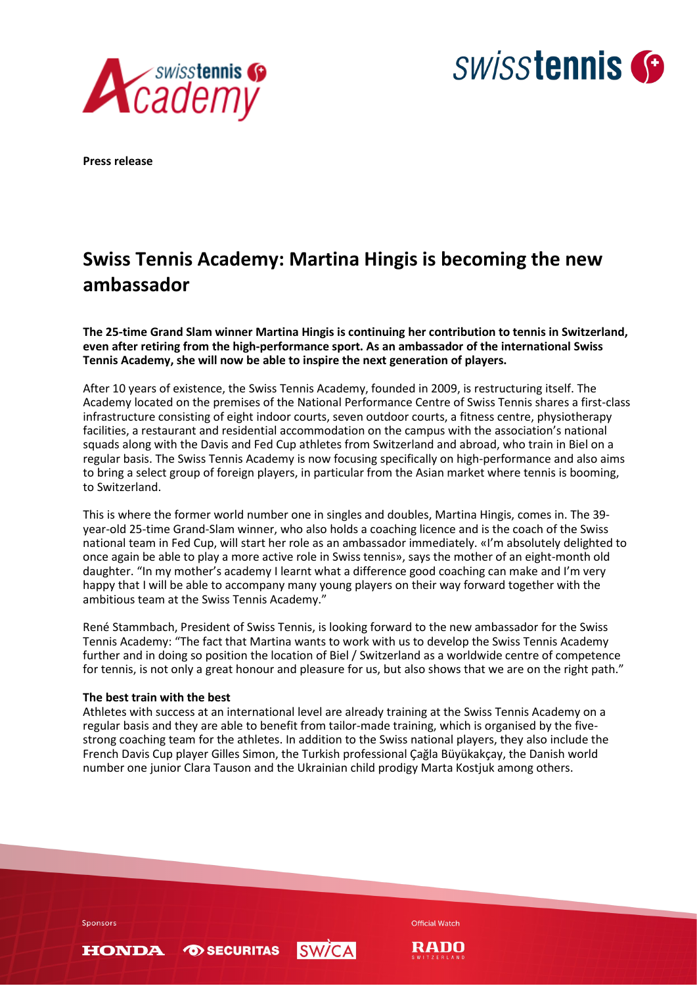



**Press release**

# **Swiss Tennis Academy: Martina Hingis is becoming the new ambassador**

**The 25-time Grand Slam winner Martina Hingis is continuing her contribution to tennis in Switzerland, even after retiring from the high-performance sport. As an ambassador of the international Swiss Tennis Academy, she will now be able to inspire the next generation of players.** 

After 10 years of existence, the Swiss Tennis Academy, founded in 2009, is restructuring itself. The Academy located on the premises of the National Performance Centre of Swiss Tennis shares a first-class infrastructure consisting of eight indoor courts, seven outdoor courts, a fitness centre, physiotherapy facilities, a restaurant and residential accommodation on the campus with the association's national squads along with the Davis and Fed Cup athletes from Switzerland and abroad, who train in Biel on a regular basis. The Swiss Tennis Academy is now focusing specifically on high-performance and also aims to bring a select group of foreign players, in particular from the Asian market where tennis is booming, to Switzerland.

This is where the former world number one in singles and doubles, Martina Hingis, comes in. The 39 year-old 25-time Grand-Slam winner, who also holds a coaching licence and is the coach of the Swiss national team in Fed Cup, will start her role as an ambassador immediately. «I'm absolutely delighted to once again be able to play a more active role in Swiss tennis», says the mother of an eight-month old daughter. "In my mother's academy I learnt what a difference good coaching can make and I'm very happy that I will be able to accompany many young players on their way forward together with the ambitious team at the Swiss Tennis Academy."

René Stammbach, President of Swiss Tennis, is looking forward to the new ambassador for the Swiss Tennis Academy: "The fact that Martina wants to work with us to develop the Swiss Tennis Academy further and in doing so position the location of Biel / Switzerland as a worldwide centre of competence for tennis, is not only a great honour and pleasure for us, but also shows that we are on the right path."

## **The best train with the best**

Athletes with success at an international level are already training at the Swiss Tennis Academy on a regular basis and they are able to benefit from tailor-made training, which is organised by the fivestrong coaching team for the athletes. In addition to the Swiss national players, they also include the French Davis Cup player Gilles Simon, the Turkish professional Çağla Büyükakçay, the Danish world number one junior Clara Tauson and the Ukrainian child prodigy Marta Kostjuk among others.

Sponsors

**HONDA** 

**TO SECURITAS** 



**Official Watch**